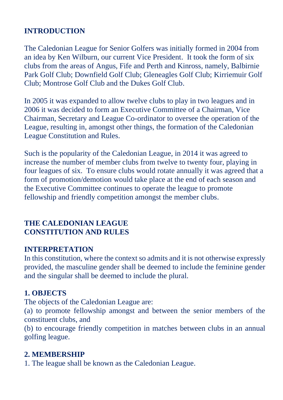## **INTRODUCTION**

The Caledonian League for Senior Golfers was initially formed in 2004 from an idea by Ken Wilburn, our current Vice President. It took the form of six clubs from the areas of Angus, Fife and Perth and Kinross, namely, Balbirnie Park Golf Club; Downfield Golf Club; Gleneagles Golf Club; Kirriemuir Golf Club; Montrose Golf Club and the Dukes Golf Club.

In 2005 it was expanded to allow twelve clubs to play in two leagues and in 2006 it was decided to form an Executive Committee of a Chairman, Vice Chairman, Secretary and League Co-ordinator to oversee the operation of the League, resulting in, amongst other things, the formation of the Caledonian League Constitution and Rules.

Such is the popularity of the Caledonian League, in 2014 it was agreed to increase the number of member clubs from twelve to twenty four, playing in four leagues of six. To ensure clubs would rotate annually it was agreed that a form of promotion/demotion would take place at the end of each season and the Executive Committee continues to operate the league to promote fellowship and friendly competition amongst the member clubs.

#### **THE CALEDONIAN LEAGUE CONSTITUTION AND RULES**

#### **INTERPRETATION**

In this constitution, where the context so admits and it is not otherwise expressly provided, the masculine gender shall be deemed to include the feminine gender and the singular shall be deemed to include the plural.

#### **1. OBJECTS**

The objects of the Caledonian League are:

(a) to promote fellowship amongst and between the senior members of the constituent clubs, and

(b) to encourage friendly competition in matches between clubs in an annual golfing league.

#### **2. MEMBERSHIP**

1. The league shall be known as the Caledonian League.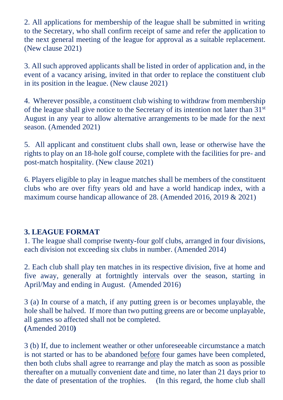2. All applications for membership of the league shall be submitted in writing to the Secretary, who shall confirm receipt of same and refer the application to the next general meeting of the league for approval as a suitable replacement. (New clause 2021)

3. All such approved applicants shall be listed in order of application and, in the event of a vacancy arising, invited in that order to replace the constituent club in its position in the league. (New clause 2021)

4. Wherever possible, a constituent club wishing to withdraw from membership of the league shall give notice to the Secretary of its intention not later than 31st August in any year to allow alternative arrangements to be made for the next season. (Amended 2021)

5. All applicant and constituent clubs shall own, lease or otherwise have the rights to play on an 18-hole golf course, complete with the facilities for pre- and post-match hospitality. (New clause 2021)

6. Players eligible to play in league matches shall be members of the constituent clubs who are over fifty years old and have a world handicap index, with a maximum course handicap allowance of 28. (Amended 2016, 2019 & 2021)

### **3. LEAGUE FORMAT**

1. The league shall comprise twenty-four golf clubs, arranged in four divisions, each division not exceeding six clubs in number. (Amended 2014)

2. Each club shall play ten matches in its respective division, five at home and five away, generally at fortnightly intervals over the season, starting in April/May and ending in August. (Amended 2016)

3 (a) In course of a match, if any putting green is or becomes unplayable, the hole shall be halved. If more than two putting greens are or become unplayable, all games so affected shall not be completed. **(**Amended 2010**)**

3 (b) If, due to inclement weather or other unforeseeable circumstance a match is not started or has to be abandoned before four games have been completed, then both clubs shall agree to rearrange and play the match as soon as possible thereafter on a mutually convenient date and time, no later than 21 days prior to the date of presentation of the trophies. (In this regard, the home club shall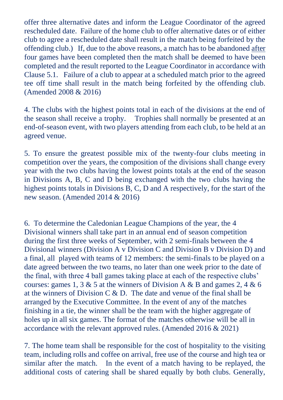offer three alternative dates and inform the League Coordinator of the agreed rescheduled date. Failure of the home club to offer alternative dates or of either club to agree a rescheduled date shall result in the match being forfeited by the offending club.) If, due to the above reasons, a match has to be abandoned after four games have been completed then the match shall be deemed to have been completed and the result reported to the League Coordinator in accordance with Clause 5.1. Failure of a club to appear at a scheduled match prior to the agreed tee off time shall result in the match being forfeited by the offending club. (Amended 2008 & 2016)

4. The clubs with the highest points total in each of the divisions at the end of the season shall receive a trophy. Trophies shall normally be presented at an end-of-season event, with two players attending from each club, to be held at an agreed venue.

5. To ensure the greatest possible mix of the twenty-four clubs meeting in competition over the years, the composition of the divisions shall change every year with the two clubs having the lowest points totals at the end of the season in Divisions A, B, C and D being exchanged with the two clubs having the highest points totals in Divisions B, C, D and A respectively, for the start of the new season. (Amended 2014 & 2016)

6. To determine the Caledonian League Champions of the year, the 4 Divisional winners shall take part in an annual end of season competition during the first three weeks of September, with 2 semi-finals between the 4 Divisional winners (Division A v Division C and Division B v Division D) and a final, all played with teams of 12 members: the semi-finals to be played on a date agreed between the two teams, no later than one week prior to the date of the final, with three 4 ball games taking place at each of the respective clubs' courses: games 1, 3  $\&$  5 at the winners of Division A  $\&$  B and games 2, 4  $\&$  6 at the winners of Division C & D. The date and venue of the final shall be arranged by the Executive Committee. In the event of any of the matches finishing in a tie, the winner shall be the team with the higher aggregate of holes up in all six games. The format of the matches otherwise will be all in accordance with the relevant approved rules. (Amended 2016 & 2021)

7. The home team shall be responsible for the cost of hospitality to the visiting team, including rolls and coffee on arrival, free use of the course and high tea or similar after the match. In the event of a match having to be replayed, the additional costs of catering shall be shared equally by both clubs. Generally,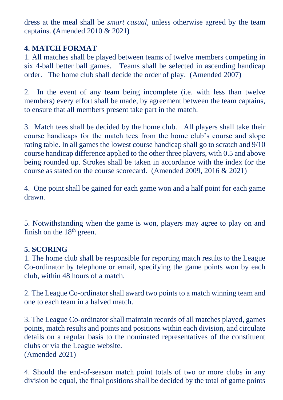dress at the meal shall be *smart casual*, unless otherwise agreed by the team captains. **(**Amended 2010 & 2021**)**

## **4. MATCH FORMAT**

1. All matches shall be played between teams of twelve members competing in six 4-ball better ball games. Teams shall be selected in ascending handicap order. The home club shall decide the order of play. (Amended 2007)

2. In the event of any team being incomplete (i.e. with less than twelve members) every effort shall be made, by agreement between the team captains, to ensure that all members present take part in the match.

3. Match tees shall be decided by the home club. All players shall take their course handicaps for the match tees from the home club's course and slope rating table. In all games the lowest course handicap shall go to scratch and 9/10 course handicap difference applied to the other three players, with 0.5 and above being rounded up. Strokes shall be taken in accordance with the index for the course as stated on the course scorecard. (Amended 2009, 2016 & 2021)

4. One point shall be gained for each game won and a half point for each game drawn.

5. Notwithstanding when the game is won, players may agree to play on and finish on the  $18<sup>th</sup>$  green.

### **5. SCORING**

1. The home club shall be responsible for reporting match results to the League Co-ordinator by telephone or email, specifying the game points won by each club, within 48 hours of a match.

2. The League Co-ordinator shall award two points to a match winning team and one to each team in a halved match.

3. The League Co-ordinator shall maintain records of all matches played, games points, match results and points and positions within each division, and circulate details on a regular basis to the nominated representatives of the constituent clubs or via the League website. (Amended 2021)

4. Should the end-of-season match point totals of two or more clubs in any division be equal, the final positions shall be decided by the total of game points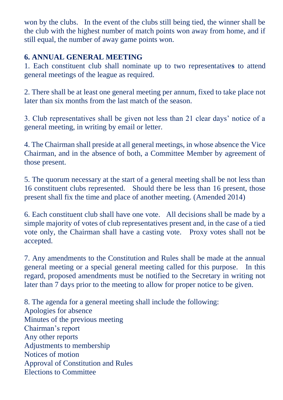won by the clubs. In the event of the clubs still being tied, the winner shall be the club with the highest number of match points won away from home, and if still equal, the number of away game points won.

## **6. ANNUAL GENERAL MEETING**

1. Each constituent club shall nominate up to two representative**s** to attend general meetings of the league as required.

2. There shall be at least one general meeting per annum, fixed to take place not later than six months from the last match of the season.

3. Club representatives shall be given not less than 21 clear days' notice of a general meeting, in writing by email or letter.

4. The Chairman shall preside at all general meetings, in whose absence the Vice Chairman, and in the absence of both, a Committee Member by agreement of those present.

5. The quorum necessary at the start of a general meeting shall be not less than 16 constituent clubs represented. Should there be less than 16 present, those present shall fix the time and place of another meeting. (Amended 2014)

6. Each constituent club shall have one vote. All decisions shall be made by a simple majority of votes of club representatives present and, in the case of a tied vote only, the Chairman shall have a casting vote. Proxy votes shall not be accepted.

7. Any amendments to the Constitution and Rules shall be made at the annual general meeting or a special general meeting called for this purpose. In this regard, proposed amendments must be notified to the Secretary in writing not later than 7 days prior to the meeting to allow for proper notice to be given.

8. The agenda for a general meeting shall include the following: Apologies for absence Minutes of the previous meeting Chairman's report Any other reports Adjustments to membership Notices of motion Approval of Constitution and Rules Elections to Committee